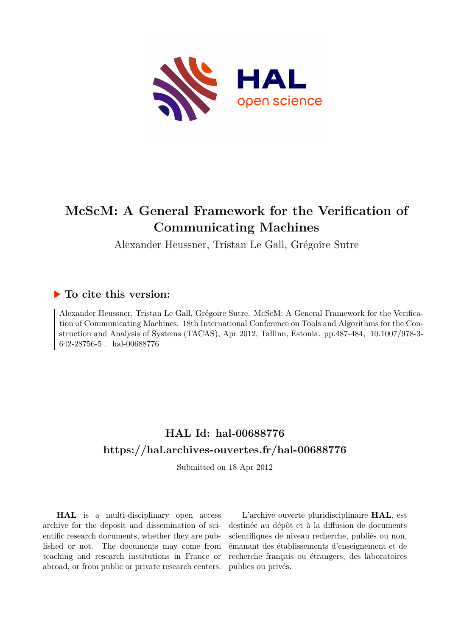

# **McScM: A General Framework for the Verification of Communicating Machines**

Alexander Heussner, Tristan Le Gall, Grégoire Sutre

# **To cite this version:**

Alexander Heussner, Tristan Le Gall, Grégoire Sutre. McScM: A General Framework for the Verification of Communicating Machines. 18th International Conference on Tools and Algorithms for the Construction and Analysis of Systems (TACAS), Apr 2012, Tallinn, Estonia. pp.487-484, 10.1007/978-3-642-28756-5. hal-00688776

# **HAL Id: hal-00688776 <https://hal.archives-ouvertes.fr/hal-00688776>**

Submitted on 18 Apr 2012

**HAL** is a multi-disciplinary open access archive for the deposit and dissemination of scientific research documents, whether they are published or not. The documents may come from teaching and research institutions in France or abroad, or from public or private research centers.

L'archive ouverte pluridisciplinaire **HAL**, est destinée au dépôt et à la diffusion de documents scientifiques de niveau recherche, publiés ou non, émanant des établissements d'enseignement et de recherche français ou étrangers, des laboratoires publics ou privés.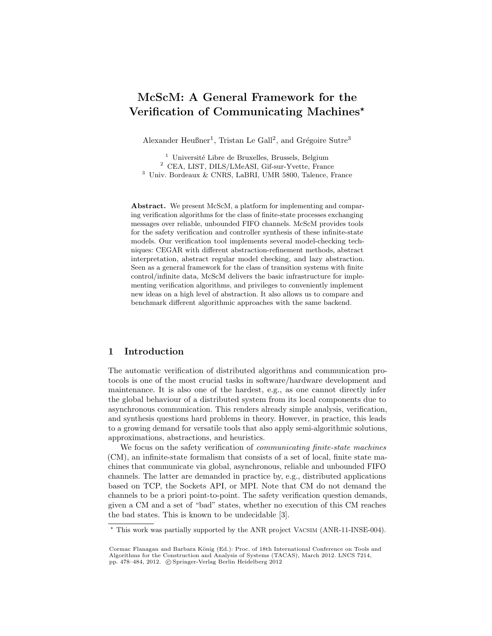# McScM: A General Framework for the Verification of Communicating Machines<sup>\*</sup>

Alexander Heußner<sup>1</sup>, Tristan Le Gall<sup>2</sup>, and Grégoire Sutre<sup>3</sup>

 $1$  Université Libre de Bruxelles, Brussels, Belgium <sup>2</sup> CEA, LIST, DILS/LMeASI, Gif-sur-Yvette, France <sup>3</sup> Univ. Bordeaux & CNRS, LaBRI, UMR 5800, Talence, France

Abstract. We present McScM, a platform for implementing and comparing verification algorithms for the class of finite-state processes exchanging messages over reliable, unbounded FIFO channels. McScM provides tools for the safety verification and controller synthesis of these infinite-state models. Our verification tool implements several model-checking techniques: CEGAR with different abstraction-refinement methods, abstract interpretation, abstract regular model checking, and lazy abstraction. Seen as a general framework for the class of transition systems with finite control/infinite data, McScM delivers the basic infrastructure for implementing verification algorithms, and privileges to conveniently implement new ideas on a high level of abstraction. It also allows us to compare and benchmark different algorithmic approaches with the same backend.

### 1 Introduction

The automatic verification of distributed algorithms and communication protocols is one of the most crucial tasks in software/hardware development and maintenance. It is also one of the hardest, e.g., as one cannot directly infer the global behaviour of a distributed system from its local components due to asynchronous communication. This renders already simple analysis, verification, and synthesis questions hard problems in theory. However, in practice, this leads to a growing demand for versatile tools that also apply semi-algorithmic solutions, approximations, abstractions, and heuristics.

We focus on the safety verification of *communicating finite-state machines* (CM), an infinite-state formalism that consists of a set of local, finite state machines that communicate via global, asynchronous, reliable and unbounded FIFO channels. The latter are demanded in practice by, e.g., distributed applications based on TCP, the Sockets API, or MPI. Note that CM do not demand the channels to be a priori point-to-point. The safety verification question demands, given a CM and a set of "bad" states, whether no execution of this CM reaches the bad states. This is known to be undecidable [3].

<sup>?</sup> This work was partially supported by the ANR project Vacsim (ANR-11-INSE-004).

Cormac Flanagan and Barbara König (Ed.): Proc. of 18th International Conference on Tools and Algorithms for the Construction and Analysis of Systems (TACAS), March 2012. LNCS 7214, pp. 478-484, 2012. © Springer-Verlag Berlin Heidelberg 2012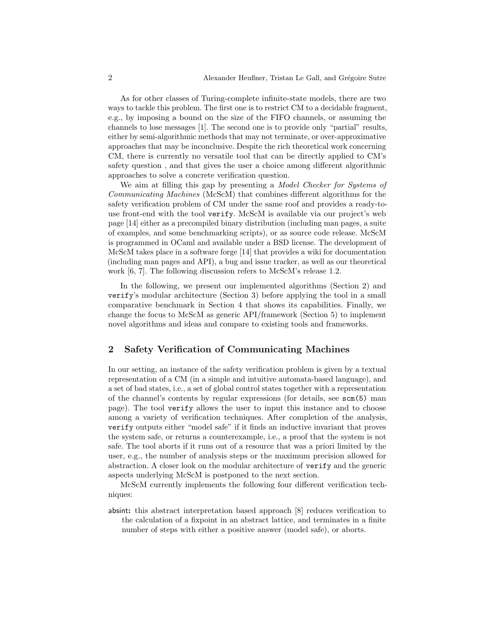As for other classes of Turing-complete infinite-state models, there are two ways to tackle this problem. The first one is to restrict CM to a decidable fragment, e.g., by imposing a bound on the size of the FIFO channels, or assuming the channels to lose messages [1]. The second one is to provide only "partial" results, either by semi-algorithmic methods that may not terminate, or over-approximative approaches that may be inconclusive. Despite the rich theoretical work concerning CM, there is currently no versatile tool that can be directly applied to CM's safety question , and that gives the user a choice among different algorithmic approaches to solve a concrete verification question.

We aim at filling this gap by presenting a Model Checker for Systems of Communicating Machines (McScM) that combines different algorithms for the safety verification problem of CM under the same roof and provides a ready-touse front-end with the tool verify. McScM is available via our project's web page [14] either as a precompiled binary distribution (including man pages, a suite of examples, and some benchmarking scripts), or as source code release. McScM is programmed in OCaml and available under a BSD license. The development of McScM takes place in a software forge [14] that provides a wiki for documentation (including man pages and API), a bug and issue tracker, as well as our theoretical work [6, 7]. The following discussion refers to McScM's release 1.2.

In the following, we present our implemented algorithms (Section 2) and verify's modular architecture (Section 3) before applying the tool in a small comparative benchmark in Section 4 that shows its capabilities. Finally, we change the focus to McScM as generic API/framework (Section 5) to implement novel algorithms and ideas and compare to existing tools and frameworks.

## 2 Safety Verification of Communicating Machines

In our setting, an instance of the safety verification problem is given by a textual representation of a CM (in a simple and intuitive automata-based language), and a set of bad states, i.e., a set of global control states together with a representation of the channel's contents by regular expressions (for details, see scm(5) man page). The tool verify allows the user to input this instance and to choose among a variety of verification techniques. After completion of the analysis, verify outputs either "model safe" if it finds an inductive invariant that proves the system safe, or returns a counterexample, i.e., a proof that the system is not safe. The tool aborts if it runs out of a resource that was a priori limited by the user, e.g., the number of analysis steps or the maximum precision allowed for abstraction. A closer look on the modular architecture of verify and the generic aspects underlying McScM is postponed to the next section.

McScM currently implements the following four different verification techniques:

absint: this abstract interpretation based approach [8] reduces verification to the calculation of a fixpoint in an abstract lattice, and terminates in a finite number of steps with either a positive answer (model safe), or aborts.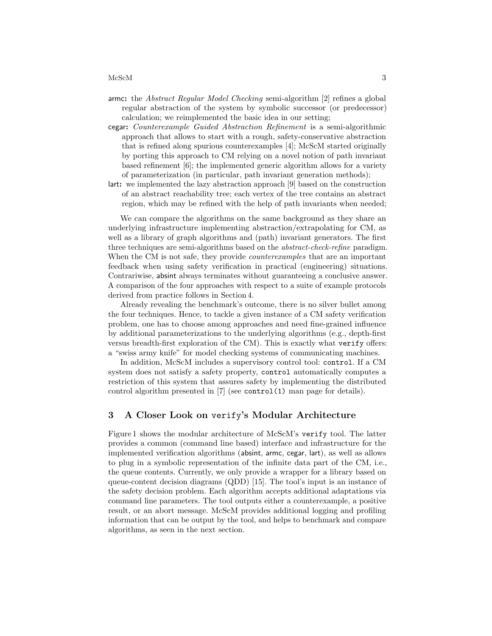#### $McScM$  3

- armc: the Abstract Regular Model Checking semi-algorithm [2] refines a global regular abstraction of the system by symbolic successor (or predecessor) calculation; we reimplemented the basic idea in our setting;
- cegar: Counterexample Guided Abstraction Refinement is a semi-algorithmic approach that allows to start with a rough, safety-conservative abstraction that is refined along spurious counterexamples [4]; McScM started originally by porting this approach to CM relying on a novel notion of path invariant based refinement [6]; the implemented generic algorithm allows for a variety of parameterization (in particular, path invariant generation methods);
- lart: we implemented the lazy abstraction approach [9] based on the construction of an abstract reachability tree; each vertex of the tree contains an abstract region, which may be refined with the help of path invariants when needed;

We can compare the algorithms on the same background as they share an underlying infrastructure implementing abstraction/extrapolating for CM, as well as a library of graph algorithms and (path) invariant generators. The first three techniques are semi-algorithms based on the abstract-check-refine paradigm. When the CM is not safe, they provide *counterexamples* that are an important feedback when using safety verification in practical (engineering) situations. Contrariwise, absint always terminates without guaranteeing a conclusive answer. A comparison of the four approaches with respect to a suite of example protocols derived from practice follows in Section 4.

Already revealing the benchmark's outcome, there is no silver bullet among the four techniques. Hence, to tackle a given instance of a CM safety verification problem, one has to choose among approaches and need fine-grained influence by additional parameterizations to the underlying algorithms (e.g., depth-first versus breadth-first exploration of the CM). This is exactly what verify offers: a "swiss army knife" for model checking systems of communicating machines.

In addition, McScM includes a supervisory control tool: control. If a CM system does not satisfy a safety property, control automatically computes a restriction of this system that assures safety by implementing the distributed control algorithm presented in  $[7]$  (see control(1) man page for details).

# 3 A Closer Look on verify's Modular Architecture

Figure 1 shows the modular architecture of McScM's verify tool. The latter provides a common (command line based) interface and infrastructure for the implemented verification algorithms (absint, armc, cegar, lart), as well as allows to plug in a symbolic representation of the infinite data part of the CM, i.e., the queue contents. Currently, we only provide a wrapper for a library based on queue-content decision diagrams (QDD) [15]. The tool's input is an instance of the safety decision problem. Each algorithm accepts additional adaptations via command line parameters. The tool outputs either a counterexample, a positive result, or an abort message. McScM provides additional logging and profiling information that can be output by the tool, and helps to benchmark and compare algorithms, as seen in the next section.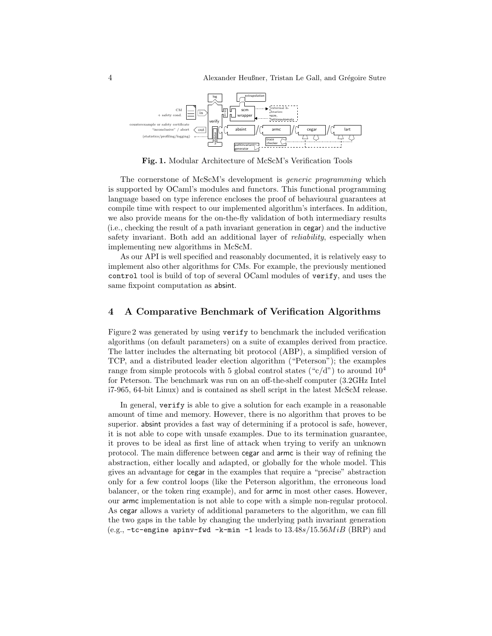

Fig. 1. Modular Architecture of McScM's Verification Tools

The cornerstone of McScM's development is generic programming which is supported by OCaml's modules and functors. This functional programming language based on type inference encloses the proof of behavioural guarantees at compile time with respect to our implemented algorithm's interfaces. In addition, we also provide means for the on-the-fly validation of both intermediary results (i.e., checking the result of a path invariant generation in cegar) and the inductive safety invariant. Both add an additional layer of *reliability*, especially when implementing new algorithms in McScM.

As our API is well specified and reasonably documented, it is relatively easy to implement also other algorithms for CMs. For example, the previously mentioned control tool is build of top of several OCaml modules of verify, and uses the same fixpoint computation as absint.

## 4 A Comparative Benchmark of Verification Algorithms

Figure 2 was generated by using verify to benchmark the included verification algorithms (on default parameters) on a suite of examples derived from practice. The latter includes the alternating bit protocol (ABP), a simplified version of TCP, and a distributed leader election algorithm ("Peterson"); the examples range from simple protocols with 5 global control states ("c/d") to around  $10^4$ for Peterson. The benchmark was run on an off-the-shelf computer (3.2GHz Intel i7-965, 64-bit Linux) and is contained as shell script in the latest McScM release.

In general, verify is able to give a solution for each example in a reasonable amount of time and memory. However, there is no algorithm that proves to be superior. absint provides a fast way of determining if a protocol is safe, however, it is not able to cope with unsafe examples. Due to its termination guarantee, it proves to be ideal as first line of attack when trying to verify an unknown protocol. The main difference between cegar and armc is their way of refining the abstraction, either locally and adapted, or globally for the whole model. This gives an advantage for cegar in the examples that require a "precise" abstraction only for a few control loops (like the Peterson algorithm, the erroneous load balancer, or the token ring example), and for armc in most other cases. However, our armc implementation is not able to cope with a simple non-regular protocol. As cegar allows a variety of additional parameters to the algorithm, we can fill the two gaps in the table by changing the underlying path invariant generation (e.g., -tc-engine apinv-fwd -k-min -1 leads to  $13.48s/15.56MiB$  (BRP) and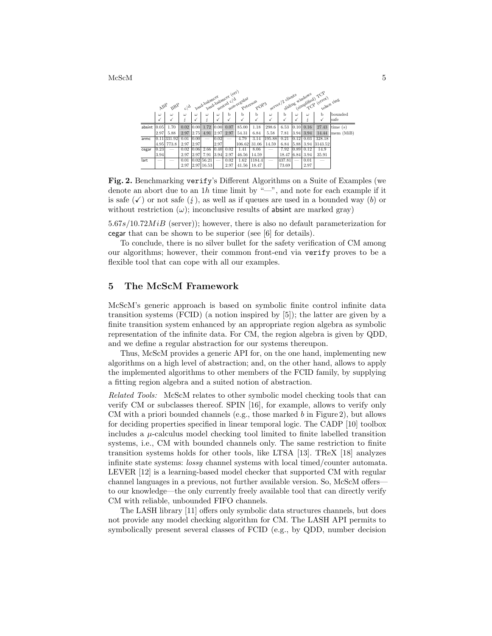|                 | load halance lainter (err)<br>eerver 2 clients windows of TCP (error)<br>$R^{O}R^{3}$<br>BRP<br>ABP<br>$c/\gamma$ |                          |                 |      |                                    |                          |      |        |        |          |        |      |             |         |                              |
|-----------------|-------------------------------------------------------------------------------------------------------------------|--------------------------|-----------------|------|------------------------------------|--------------------------|------|--------|--------|----------|--------|------|-------------|---------|------------------------------|
|                 | $\omega$<br>√                                                                                                     | $\omega$                 | $\omega$        |      |                                    |                          |      |        |        | $\omega$ | b      | ω    | $\omega$    | b       | bounded<br>safe              |
| absint $ 0.05 $ |                                                                                                                   | 1.70                     |                 |      | $0.02$ $ 0.00 $ 1.72 $ 0.00 $ 0.07 |                          |      | 85.00  | 1.18   | 298.6    | 6.53   |      | 0.10  0.16  | 27.43   | $\vert \text{time}(s) \vert$ |
|                 | 2.97                                                                                                              | 5.88                     |                 |      | $2.97$ 2.75 4.91                   | 2.97                     | 2.97 | 54.31  | 6.84   | 5.58     | 7.81   |      | $3.94$ 3.94 | 14.44   | mem (MiB)                    |
| armc            |                                                                                                                   | 0.11 331.92              | $0.01$ $ 0.00 $ |      |                                    | 0.02                     |      | 4.79   | 3.14   | 195.88   | 0.21   | 0.12 | 0.03        | 328.18  |                              |
|                 |                                                                                                                   | 4.95 773.8               | 2.97            | 2.97 |                                    | 2.97                     |      | 106.62 | 31.06  | 14.59    | 6.84   | 5.88 | 3.94        | 3143.52 |                              |
| cegar           | 0.23                                                                                                              | $\overline{\phantom{a}}$ | 0.02            | 0.06 | $2.66$ 0.40 0.02                   |                          |      | 1.41   | 8.06   |          | 7.92   | 0.89 | 0.12        | 14.9    |                              |
|                 | 3.94                                                                                                              |                          | 2.97            |      | $2.97$ 7.91                        | 3.94                     | 2.97 | 46.56  | 14.59  |          | 18.47  | 6.84 | 3.94        | 35.91   |                              |
| lart            | $\overline{\phantom{a}}$                                                                                          |                          | 0.01            |      | 0.02 56.21                         | $\overline{\phantom{a}}$ | 0.02 | 1.62   | 1184.4 |          | 437.81 |      | 0.01        |         |                              |
|                 |                                                                                                                   |                          | 2.97            |      | 2.97 16.53                         |                          | 2.97 | 41.56  | 18.47  |          | 73.69  |      | 2.97        |         |                              |

Fig. 2. Benchmarking verify's Different Algorithms on a Suite of Examples (we denote an abort due to an 1h time limit by "—", and note for each example if it is safe  $(\checkmark)$  or not safe  $(\xi)$ , as well as if queues are used in a bounded way  $(b)$  or without restriction  $(\omega)$ ; inconclusive results of absint are marked gray)

 $5.67s/10.72MiB$  (server)); however, there is also no default parameterization for cegar that can be shown to be superior (see [6] for details).

To conclude, there is no silver bullet for the safety verification of CM among our algorithms; however, their common front-end via verify proves to be a flexible tool that can cope with all our examples.

# 5 The McScM Framework

McScM's generic approach is based on symbolic finite control infinite data transition systems (FCID) (a notion inspired by [5]); the latter are given by a finite transition system enhanced by an appropriate region algebra as symbolic representation of the infinite data. For CM, the region algebra is given by QDD, and we define a regular abstraction for our systems thereupon.

Thus, McScM provides a generic API for, on the one hand, implementing new algorithms on a high level of abstraction; and, on the other hand, allows to apply the implemented algorithms to other members of the FCID family, by supplying a fitting region algebra and a suited notion of abstraction.

Related Tools: McScM relates to other symbolic model checking tools that can verify CM or subclasses thereof. SPIN [16], for example, allows to verify only CM with a priori bounded channels (e.g., those marked b in Figure 2), but allows for deciding properties specified in linear temporal logic. The CADP [10] toolbox includes a  $\mu$ -calculus model checking tool limited to finite labelled transition systems, i.e., CM with bounded channels only. The same restriction to finite transition systems holds for other tools, like LTSA [13]. TReX [18] analyzes infinite state systems: lossy channel systems with local timed/counter automata. LEVER [12] is a learning-based model checker that supported CM with regular channel languages in a previous, not further available version. So, McScM offers to our knowledge—the only currently freely available tool that can directly verify CM with reliable, unbounded FIFO channels.

The LASH library [11] offers only symbolic data structures channels, but does not provide any model checking algorithm for CM. The LASH API permits to symbolically present several classes of FCID (e.g., by QDD, number decision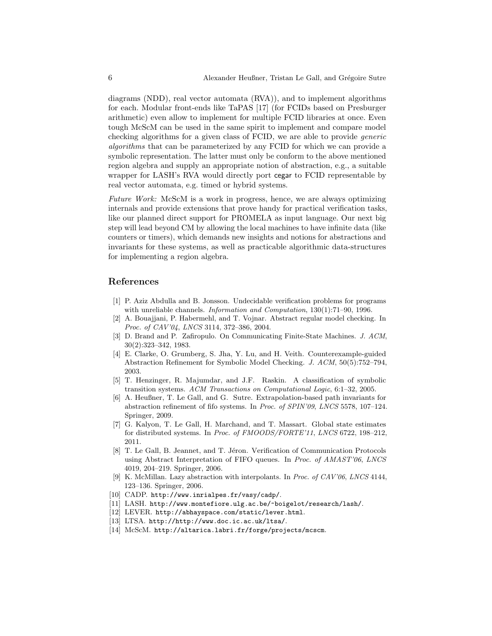diagrams (NDD), real vector automata (RVA)), and to implement algorithms for each. Modular front-ends like TaPAS [17] (for FCIDs based on Presburger arithmetic) even allow to implement for multiple FCID libraries at once. Even tough McScM can be used in the same spirit to implement and compare model checking algorithms for a given class of FCID, we are able to provide generic algorithms that can be parameterized by any FCID for which we can provide a symbolic representation. The latter must only be conform to the above mentioned region algebra and supply an appropriate notion of abstraction, e.g., a suitable wrapper for LASH's RVA would directly port cegar to FCID representable by real vector automata, e.g. timed or hybrid systems.

Future Work: McScM is a work in progress, hence, we are always optimizing internals and provide extensions that prove handy for practical verification tasks, like our planned direct support for PROMELA as input language. Our next big step will lead beyond CM by allowing the local machines to have infinite data (like counters or timers), which demands new insights and notions for abstractions and invariants for these systems, as well as practicable algorithmic data-structures for implementing a region algebra.

## References

- [1] P. Aziz Abdulla and B. Jonsson. Undecidable verification problems for programs with unreliable channels. *Information and Computation*, 130(1):71-90, 1996.
- [2] A. Bouajjani, P. Habermehl, and T. Vojnar. Abstract regular model checking. In Proc. of CAV'04, LNCS 3114, 372–386, 2004.
- [3] D. Brand and P. Zafiropulo. On Communicating Finite-State Machines. J. ACM, 30(2):323–342, 1983.
- [4] E. Clarke, O. Grumberg, S. Jha, Y. Lu, and H. Veith. Counterexample-guided Abstraction Refinement for Symbolic Model Checking. J. ACM, 50(5):752–794, 2003.
- [5] T. Henzinger, R. Majumdar, and J.F. Raskin. A classification of symbolic transition systems. ACM Transactions on Computational Logic, 6:1–32, 2005.
- [6] A. Heußner, T. Le Gall, and G. Sutre. Extrapolation-based path invariants for abstraction refinement of fifo systems. In Proc. of SPIN'09, LNCS 5578, 107–124. Springer, 2009.
- [7] G. Kalyon, T. Le Gall, H. Marchand, and T. Massart. Global state estimates for distributed systems. In Proc. of FMOODS/FORTE'11, LNCS 6722, 198–212, 2011.
- [8] T. Le Gall, B. Jeannet, and T. Jéron. Verification of Communication Protocols using Abstract Interpretation of FIFO queues. In Proc. of AMAST'06, LNCS 4019, 204–219. Springer, 2006.
- [9] K. McMillan. Lazy abstraction with interpolants. In Proc. of CAV'06, LNCS 4144, 123–136. Springer, 2006.
- [10] CADP. <http://www.inrialpes.fr/vasy/cadp/>.
- [11] LASH. <http://www.montefiore.ulg.ac.be/~boigelot/research/lash/>.
- [12] LEVER. <http://abhayspace.com/static/lever.html>.
- [13] LTSA. <http://http://www.doc.ic.ac.uk/ltsa/>.
- [14] McScM. <http://altarica.labri.fr/forge/projects/mcscm>.